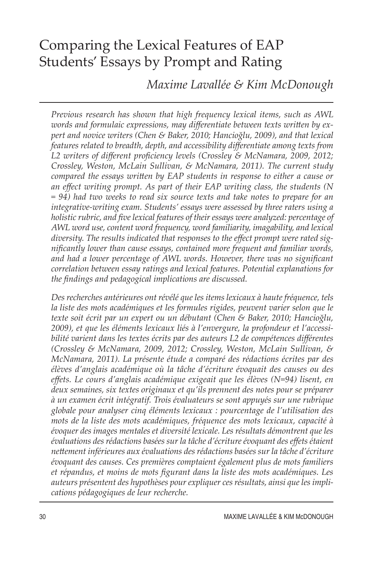# Comparing the Lexical Features of EAP Students' Essays by Prompt and Rating

# *Maxime Lavallée & Kim McDonough*

*Previous research has shown that high frequency lexical items, such as AWL words and formulaic expressions, may differentiate between texts written by expert and novice writers (Chen & Baker, 2010; Hancioğlu, 2009), and that lexical features related to breadth, depth, and accessibility differentiate among texts from L2 writers of different proficiency levels (Crossley & McNamara, 2009, 2012; Crossley, Weston, McLain Sullivan, & McNamara, 2011). The current study compared the essays written by EAP students in response to either a cause or an effect writing prompt. As part of their EAP writing class, the students (N = 94) had two weeks to read six source texts and take notes to prepare for an integrative-writing exam. Students' essays were assessed by three raters using a holistic rubric, and five lexical features of their essays were analyzed: percentage of AWL word use, content word frequency, word familiarity, imagability, and lexical diversity. The results indicated that responses to the effect prompt were rated significantly lower than cause essays, contained more frequent and familiar words, and had a lower percentage of AWL words. However, there was no significant correlation between essay ratings and lexical features. Potential explanations for the findings and pedagogical implications are discussed.* 

*Des recherches antérieures ont révélé que les items lexicaux à haute fréquence, tels la liste des mots académiques et les formules rigides, peuvent varier selon que le texte soit écrit par un expert ou un débutant (Chen & Baker, 2010; Hancioğlu, 2009), et que les éléments lexicaux liés à l'envergure, la profondeur et l'accessibilité varient dans les textes écrits par des auteurs L2 de compétences différentes (Crossley & McNamara, 2009, 2012; Crossley, Weston, McLain Sullivan, & McNamara, 2011). La présente étude a comparé des rédactions écrites par des élèves d'anglais académique où la tâche d'écriture évoquait des causes ou des effets. Le cours d'anglais académique exigeait que les élèves (N=94) lisent, en deux semaines, six textes originaux et qu'ils prennent des notes pour se préparer à un examen écrit intégratif. Trois évaluateurs se sont appuyés sur une rubrique globale pour analyser cinq éléments lexicaux : pourcentage de l'utilisation des mots de la liste des mots académiques, fréquence des mots lexicaux, capacité à évoquer des images mentales et diversité lexicale. Les résultats démontrent que les évaluations des rédactions basées sur la tâche d'écriture évoquant des effets étaient nettement inférieures aux évaluations des rédactions basées sur la tâche d'écriture évoquant des causes. Ces premières comptaient également plus de mots familiers et répandus, et moins de mots figurant dans la liste des mots académiques. Les auteurs présentent des hypothèses pour expliquer ces résultats, ainsi que les implications pédagogiques de leur recherche.*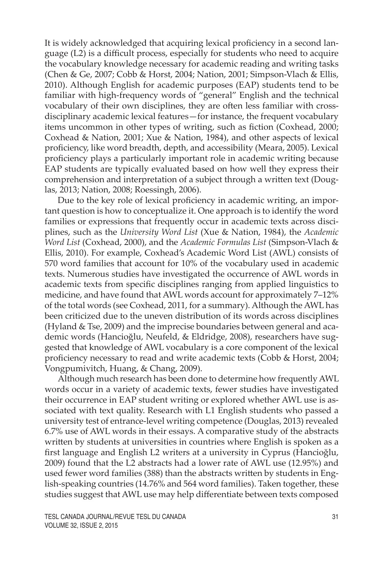It is widely acknowledged that acquiring lexical proficiency in a second language (L2) is a difficult process, especially for students who need to acquire the vocabulary knowledge necessary for academic reading and writing tasks (Chen & Ge, 2007; Cobb & Horst, 2004; Nation, 2001; Simpson-Vlach & Ellis, 2010). Although English for academic purposes (EAP) students tend to be familiar with high-frequency words of "general" English and the technical vocabulary of their own disciplines, they are often less familiar with crossdisciplinary academic lexical features—for instance, the frequent vocabulary items uncommon in other types of writing, such as fiction (Coxhead, 2000; Coxhead & Nation, 2001; Xue & Nation, 1984), and other aspects of lexical proficiency, like word breadth, depth, and accessibility (Meara, 2005). Lexical proficiency plays a particularly important role in academic writing because EAP students are typically evaluated based on how well they express their comprehension and interpretation of a subject through a written text (Douglas, 2013; Nation, 2008; Roessingh, 2006).

Due to the key role of lexical proficiency in academic writing, an important question is how to conceptualize it. One approach is to identify the word families or expressions that frequently occur in academic texts across disciplines, such as the *University Word List* (Xue & Nation, 1984), the *Academic Word List* (Coxhead, 2000), and the *Academic Formulas List* (Simpson-Vlach & Ellis, 2010). For example, Coxhead's Academic Word List (AWL) consists of 570 word families that account for 10% of the vocabulary used in academic texts. Numerous studies have investigated the occurrence of AWL words in academic texts from specific disciplines ranging from applied linguistics to medicine, and have found that AWL words account for approximately 7–12% of the total words (see Coxhead, 2011, for a summary). Although the AWL has been criticized due to the uneven distribution of its words across disciplines (Hyland & Tse, 2009) and the imprecise boundaries between general and academic words (Hancioğlu, Neufeld, & Eldridge, 2008), researchers have suggested that knowledge of AWL vocabulary is a core component of the lexical proficiency necessary to read and write academic texts (Cobb & Horst, 2004; Vongpumivitch, Huang, & Chang, 2009).

Although much research has been done to determine how frequently AWL words occur in a variety of academic texts, fewer studies have investigated their occurrence in EAP student writing or explored whether AWL use is associated with text quality. Research with L1 English students who passed a university test of entrance-level writing competence (Douglas, 2013) revealed 6.7% use of AWL words in their essays. A comparative study of the abstracts written by students at universities in countries where English is spoken as a first language and English L2 writers at a university in Cyprus (Hancioğlu, 2009) found that the L2 abstracts had a lower rate of AWL use (12.95%) and used fewer word families (388) than the abstracts written by students in English-speaking countries (14.76% and 564 word families). Taken together, these studies suggest that AWL use may help differentiate between texts composed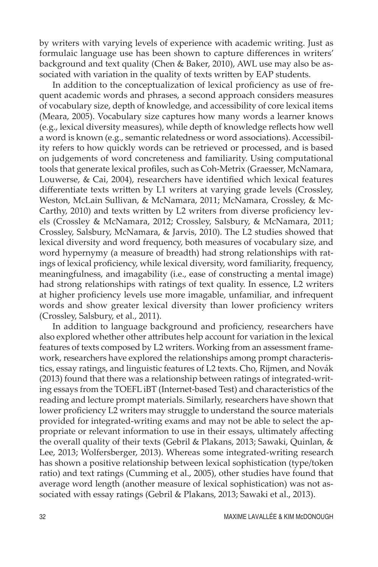by writers with varying levels of experience with academic writing. Just as formulaic language use has been shown to capture differences in writers' background and text quality (Chen & Baker, 2010), AWL use may also be associated with variation in the quality of texts written by EAP students.

In addition to the conceptualization of lexical proficiency as use of frequent academic words and phrases, a second approach considers measures of vocabulary size, depth of knowledge, and accessibility of core lexical items (Meara, 2005). Vocabulary size captures how many words a learner knows (e.g., lexical diversity measures), while depth of knowledge reflects how well a word is known (e.g., semantic relatedness or word associations). Accessibility refers to how quickly words can be retrieved or processed, and is based on judgements of word concreteness and familiarity. Using computational tools that generate lexical profiles, such as Coh-Metrix (Graesser, McNamara, Louwerse, & Cai, 2004), researchers have identified which lexical features differentiate texts written by L1 writers at varying grade levels (Crossley, Weston, McLain Sullivan, & McNamara, 2011; McNamara, Crossley, & Mc-Carthy, 2010) and texts written by L2 writers from diverse proficiency levels (Crossley & McNamara, 2012; Crossley, Salsbury, & McNamara, 2011; Crossley, Salsbury, McNamara, & Jarvis, 2010). The L2 studies showed that lexical diversity and word frequency, both measures of vocabulary size, and word hypernymy (a measure of breadth) had strong relationships with ratings of lexical proficiency, while lexical diversity, word familiarity, frequency, meaningfulness, and imagability (i.e., ease of constructing a mental image) had strong relationships with ratings of text quality. In essence, L2 writers at higher proficiency levels use more imagable, unfamiliar, and infrequent words and show greater lexical diversity than lower proficiency writers (Crossley, Salsbury, et al., 2011).

In addition to language background and proficiency, researchers have also explored whether other attributes help account for variation in the lexical features of texts composed by L2 writers. Working from an assessment framework, researchers have explored the relationships among prompt characteristics, essay ratings, and linguistic features of L2 texts. Cho, Rijmen, and Novák (2013) found that there was a relationship between ratings of integrated-writing essays from the TOEFL iBT (Internet-based Test) and characteristics of the reading and lecture prompt materials. Similarly, researchers have shown that lower proficiency L2 writers may struggle to understand the source materials provided for integrated-writing exams and may not be able to select the appropriate or relevant information to use in their essays, ultimately affecting the overall quality of their texts (Gebril & Plakans, 2013; Sawaki, Quinlan, & Lee, 2013; Wolfersberger, 2013). Whereas some integrated-writing research has shown a positive relationship between lexical sophistication (type/token ratio) and text ratings (Cumming et al., 2005), other studies have found that average word length (another measure of lexical sophistication) was not associated with essay ratings (Gebril & Plakans, 2013; Sawaki et al., 2013).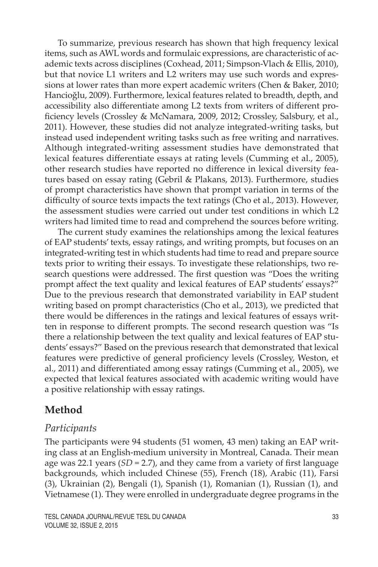To summarize, previous research has shown that high frequency lexical items, such as AWL words and formulaic expressions, are characteristic of academic texts across disciplines (Coxhead, 2011; Simpson-Vlach & Ellis, 2010), but that novice L1 writers and L2 writers may use such words and expressions at lower rates than more expert academic writers (Chen & Baker, 2010; Hancioğlu, 2009). Furthermore, lexical features related to breadth, depth, and accessibility also differentiate among L2 texts from writers of different proficiency levels (Crossley & McNamara, 2009, 2012; Crossley, Salsbury, et al., 2011). However, these studies did not analyze integrated-writing tasks, but instead used independent writing tasks such as free writing and narratives. Although integrated-writing assessment studies have demonstrated that lexical features differentiate essays at rating levels (Cumming et al., 2005), other research studies have reported no difference in lexical diversity features based on essay rating (Gebril & Plakans, 2013). Furthermore, studies of prompt characteristics have shown that prompt variation in terms of the difficulty of source texts impacts the text ratings (Cho et al., 2013). However, the assessment studies were carried out under test conditions in which L2 writers had limited time to read and comprehend the sources before writing.

The current study examines the relationships among the lexical features of EAP students' texts, essay ratings, and writing prompts, but focuses on an integrated-writing test in which students had time to read and prepare source texts prior to writing their essays. To investigate these relationships, two research questions were addressed. The first question was "Does the writing prompt affect the text quality and lexical features of EAP students' essays?" Due to the previous research that demonstrated variability in EAP student writing based on prompt characteristics (Cho et al., 2013), we predicted that there would be differences in the ratings and lexical features of essays written in response to different prompts. The second research question was "Is there a relationship between the text quality and lexical features of EAP students' essays?" Based on the previous research that demonstrated that lexical features were predictive of general proficiency levels (Crossley, Weston, et al., 2011) and differentiated among essay ratings (Cumming et al., 2005), we expected that lexical features associated with academic writing would have a positive relationship with essay ratings.

# **Method**

#### *Participants*

The participants were 94 students (51 women, 43 men) taking an EAP writing class at an English-medium university in Montreal, Canada. Their mean age was 22.1 years (*SD* = 2.7), and they came from a variety of first language backgrounds, which included Chinese (55), French (18), Arabic (11), Farsi (3), Ukrainian (2), Bengali (1), Spanish (1), Romanian (1), Russian (1), and Vietnamese (1). They were enrolled in undergraduate degree programs in the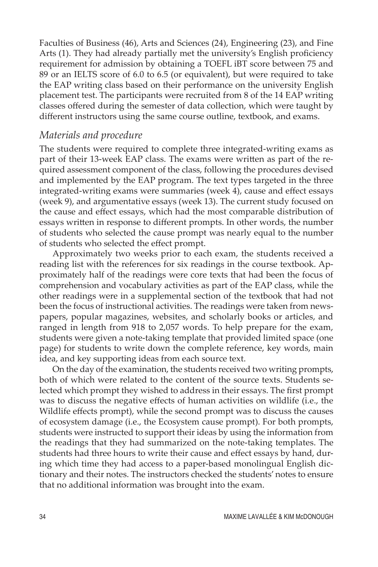Faculties of Business (46), Arts and Sciences (24), Engineering (23), and Fine Arts (1). They had already partially met the university's English proficiency requirement for admission by obtaining a TOEFL iBT score between 75 and 89 or an IELTS score of 6.0 to 6.5 (or equivalent), but were required to take the EAP writing class based on their performance on the university English placement test. The participants were recruited from 8 of the 14 EAP writing classes offered during the semester of data collection, which were taught by different instructors using the same course outline, textbook, and exams.

#### *Materials and procedure*

The students were required to complete three integrated-writing exams as part of their 13-week EAP class. The exams were written as part of the required assessment component of the class, following the procedures devised and implemented by the EAP program. The text types targeted in the three integrated-writing exams were summaries (week 4), cause and effect essays (week 9), and argumentative essays (week 13). The current study focused on the cause and effect essays, which had the most comparable distribution of essays written in response to different prompts. In other words, the number of students who selected the cause prompt was nearly equal to the number of students who selected the effect prompt.

Approximately two weeks prior to each exam, the students received a reading list with the references for six readings in the course textbook. Approximately half of the readings were core texts that had been the focus of comprehension and vocabulary activities as part of the EAP class, while the other readings were in a supplemental section of the textbook that had not been the focus of instructional activities. The readings were taken from newspapers, popular magazines, websites, and scholarly books or articles, and ranged in length from 918 to 2,057 words. To help prepare for the exam, students were given a note-taking template that provided limited space (one page) for students to write down the complete reference, key words, main idea, and key supporting ideas from each source text.

On the day of the examination, the students received two writing prompts, both of which were related to the content of the source texts. Students selected which prompt they wished to address in their essays. The first prompt was to discuss the negative effects of human activities on wildlife (i.e., the Wildlife effects prompt), while the second prompt was to discuss the causes of ecosystem damage (i.e., the Ecosystem cause prompt). For both prompts, students were instructed to support their ideas by using the information from the readings that they had summarized on the note-taking templates. The students had three hours to write their cause and effect essays by hand, during which time they had access to a paper-based monolingual English dictionary and their notes. The instructors checked the students' notes to ensure that no additional information was brought into the exam.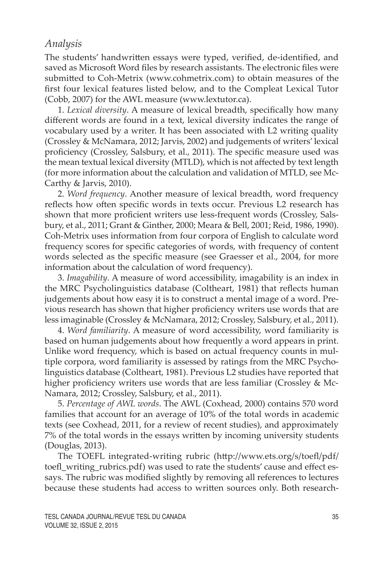#### *Analysis*

The students' handwritten essays were typed, verified, de-identified, and saved as Microsoft Word files by research assistants. The electronic files were submitted to Coh-Metrix (www.cohmetrix.com) to obtain measures of the first four lexical features listed below, and to the Compleat Lexical Tutor (Cobb, 2007) for the AWL measure (www.lextutor.ca).

1. *Lexical diversity*. A measure of lexical breadth, specifically how many different words are found in a text, lexical diversity indicates the range of vocabulary used by a writer. It has been associated with L2 writing quality (Crossley & McNamara, 2012; Jarvis, 2002) and judgements of writers' lexical proficiency (Crossley, Salsbury, et al., 2011). The specific measure used was the mean textual lexical diversity (MTLD), which is not affected by text length (for more information about the calculation and validation of MTLD, see Mc-Carthy & Jarvis, 2010).

2. *Word frequency*. Another measure of lexical breadth, word frequency reflects how often specific words in texts occur. Previous L2 research has shown that more proficient writers use less-frequent words (Crossley, Salsbury, et al., 2011; Grant & Ginther, 2000; Meara & Bell, 2001; Reid, 1986, 1990). Coh-Metrix uses information from four corpora of English to calculate word frequency scores for specific categories of words, with frequency of content words selected as the specific measure (see Graesser et al., 2004, for more information about the calculation of word frequency).

3. *Imagability*. A measure of word accessibility, imagability is an index in the MRC Psycholinguistics database (Coltheart, 1981) that reflects human judgements about how easy it is to construct a mental image of a word. Previous research has shown that higher proficiency writers use words that are less imaginable (Crossley & McNamara, 2012; Crossley, Salsbury, et al., 2011).

4. *Word familiarity*. A measure of word accessibility, word familiarity is based on human judgements about how frequently a word appears in print. Unlike word frequency, which is based on actual frequency counts in multiple corpora, word familiarity is assessed by ratings from the MRC Psycholinguistics database (Coltheart, 1981). Previous L2 studies have reported that higher proficiency writers use words that are less familiar (Crossley & Mc-Namara, 2012; Crossley, Salsbury, et al., 2011).

5. *Percentage of AWL words*. The AWL (Coxhead, 2000) contains 570 word families that account for an average of 10% of the total words in academic texts (see Coxhead, 2011, for a review of recent studies), and approximately 7% of the total words in the essays written by incoming university students (Douglas, 2013).

The TOEFL integrated-writing rubric (http://www.ets.org/s/toefl/pdf/ toefl\_writing\_rubrics.pdf) was used to rate the students' cause and effect essays. The rubric was modified slightly by removing all references to lectures because these students had access to written sources only. Both research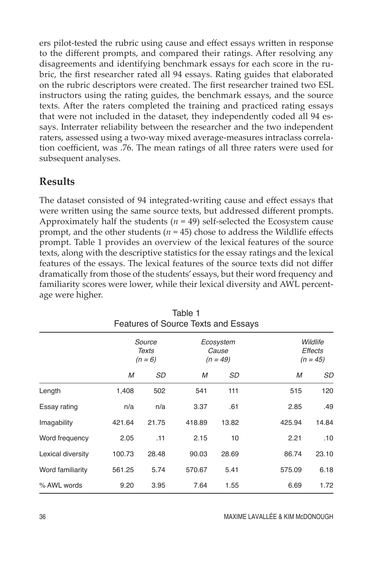ers pilot-tested the rubric using cause and effect essays written in response to the different prompts, and compared their ratings. After resolving any disagreements and identifying benchmark essays for each score in the rubric, the first researcher rated all 94 essays. Rating guides that elaborated on the rubric descriptors were created. The first researcher trained two ESL instructors using the rating guides, the benchmark essays, and the source texts. After the raters completed the training and practiced rating essays that were not included in the dataset, they independently coded all 94 essays. Interrater reliability between the researcher and the two independent raters, assessed using a two-way mixed average-measures intraclass correlation coefficient, was .76. The mean ratings of all three raters were used for subsequent analyses.

#### **Results**

The dataset consisted of 94 integrated-writing cause and effect essays that were written using the same source texts, but addressed different prompts. Approximately half the students  $(n = 49)$  self-selected the Ecosystem cause prompt, and the other students ( $n = 45$ ) chose to address the Wildlife effects prompt. Table 1 provides an overview of the lexical features of the source texts, along with the descriptive statistics for the essay ratings and the lexical features of the essays. The lexical features of the source texts did not differ dramatically from those of the students' essays, but their word frequency and familiarity scores were lower, while their lexical diversity and AWL percentage were higher.

|                   |                              |       | Features of Source Texts and Essays |                                  |        |                                   |  |
|-------------------|------------------------------|-------|-------------------------------------|----------------------------------|--------|-----------------------------------|--|
|                   | Source<br>Texts<br>$(n = 6)$ |       |                                     | Ecosystem<br>Cause<br>$(n = 49)$ |        | Wildlife<br>Effects<br>$(n = 45)$ |  |
|                   | M                            | SD    | M                                   | SD                               | M      | SD                                |  |
| Length            | 1,408                        | 502   | 541                                 | 111                              | 515    | 120                               |  |
| Essay rating      | n/a                          | n/a   | 3.37                                | .61                              | 2.85   | .49                               |  |
| Imagability       | 421.64                       | 21.75 | 418.89                              | 13.82                            | 425.94 | 14.84                             |  |
| Word frequency    | 2.05                         | .11   | 2.15                                | 10                               | 2.21   | .10                               |  |
| Lexical diversity | 100.73                       | 28.48 | 90.03                               | 28.69                            | 86.74  | 23.10                             |  |
| Word familiarity  | 561.25                       | 5.74  | 570.67                              | 5.41                             | 575.09 | 6.18                              |  |
| % AWL words       | 9.20                         | 3.95  | 7.64                                | 1.55                             | 6.69   | 1.72                              |  |

Table 1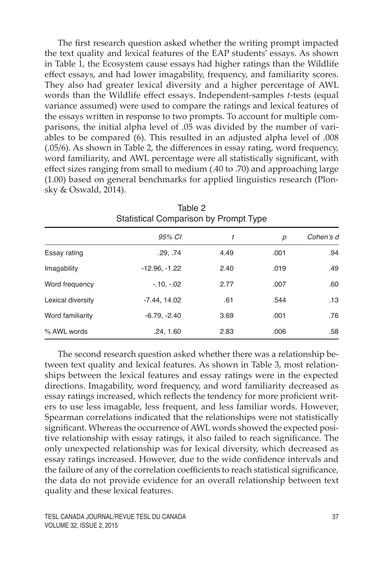The first research question asked whether the writing prompt impacted the text quality and lexical features of the EAP students' essays. As shown in Table 1, the Ecosystem cause essays had higher ratings than the Wildlife effect essays, and had lower imagability, frequency, and familiarity scores. They also had greater lexical diversity and a higher percentage of AWL words than the Wildlife effect essays. Independent-samples *t*-tests (equal variance assumed) were used to compare the ratings and lexical features of the essays written in response to two prompts. To account for multiple comparisons, the initial alpha level of .05 was divided by the number of variables to be compared (6). This resulted in an adjusted alpha level of .008 (.05/6). As shown in Table 2, the differences in essay rating, word frequency, word familiarity, and AWL percentage were all statistically significant, with effect sizes ranging from small to medium (.40 to .70) and approaching large (1.00) based on general benchmarks for applied linguistics research (Plonsky & Oswald, 2014).

| Statistical Comparison by Prompt Type |                 |      |      |           |  |  |  |
|---------------------------------------|-----------------|------|------|-----------|--|--|--|
|                                       | 95% CI          |      | р    | Cohen's d |  |  |  |
| Essay rating                          | .29. .74        | 4.49 | .001 | .94       |  |  |  |
| Imagability                           | $-12.96, -1.22$ | 2.40 | .019 | .49       |  |  |  |
| Word frequency                        | $-10, -02$      | 2.77 | .007 | .60       |  |  |  |
| Lexical diversity                     | $-7.44, 14.02$  | .61  | .544 | .13       |  |  |  |
| Word familiarity                      | $-6.79, -2.40$  | 3.69 | .001 | .76       |  |  |  |
| % AWL words                           | .24, 1.60       | 2.83 | .006 | .58       |  |  |  |

Table 2

The second research question asked whether there was a relationship between text quality and lexical features. As shown in Table 3, most relationships between the lexical features and essay ratings were in the expected directions. Imagability, word frequency, and word familiarity decreased as essay ratings increased, which reflects the tendency for more proficient writers to use less imagable, less frequent, and less familiar words. However, Spearman correlations indicated that the relationships were not statistically significant. Whereas the occurrence of AWL words showed the expected positive relationship with essay ratings, it also failed to reach significance. The only unexpected relationship was for lexical diversity, which decreased as essay ratings increased. However, due to the wide confidence intervals and the failure of any of the correlation coefficients to reach statistical significance, the data do not provide evidence for an overall relationship between text quality and these lexical features.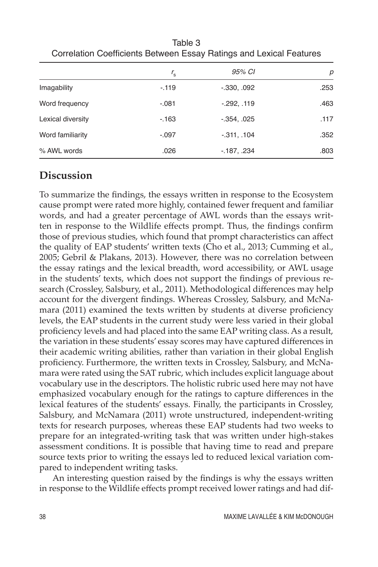|                   | $r_{\rm s}$ | 95% CI       | р    |
|-------------------|-------------|--------------|------|
| Imagability       | $-119$      | $-330, .092$ | .253 |
| Word frequency    | $-.081$     | $-292, 119$  | .463 |
| Lexical diversity | $-163$      | $-354, .025$ | .117 |
| Word familiarity  | $-.097$     | $-311, .104$ | .352 |
| % AWL words       | .026        | $-187, .234$ | .803 |

Table 3 Correlation Coefficients Between Essay Ratings and Lexical Features

# **Discussion**

To summarize the findings, the essays written in response to the Ecosystem cause prompt were rated more highly, contained fewer frequent and familiar words, and had a greater percentage of AWL words than the essays written in response to the Wildlife effects prompt. Thus, the findings confirm those of previous studies, which found that prompt characteristics can affect the quality of EAP students' written texts (Cho et al., 2013; Cumming et al., 2005; Gebril & Plakans, 2013). However, there was no correlation between the essay ratings and the lexical breadth, word accessibility, or AWL usage in the students' texts, which does not support the findings of previous research (Crossley, Salsbury, et al., 2011). Methodological differences may help account for the divergent findings. Whereas Crossley, Salsbury, and McNamara (2011) examined the texts written by students at diverse proficiency levels, the EAP students in the current study were less varied in their global proficiency levels and had placed into the same EAP writing class. As a result, the variation in these students' essay scores may have captured differences in their academic writing abilities, rather than variation in their global English proficiency. Furthermore, the written texts in Crossley, Salsbury, and McNamara were rated using the SAT rubric, which includes explicit language about vocabulary use in the descriptors. The holistic rubric used here may not have emphasized vocabulary enough for the ratings to capture differences in the lexical features of the students' essays. Finally, the participants in Crossley, Salsbury, and McNamara (2011) wrote unstructured, independent-writing texts for research purposes, whereas these EAP students had two weeks to prepare for an integrated-writing task that was written under high-stakes assessment conditions. It is possible that having time to read and prepare source texts prior to writing the essays led to reduced lexical variation compared to independent writing tasks.

An interesting question raised by the findings is why the essays written in response to the Wildlife effects prompt received lower ratings and had dif-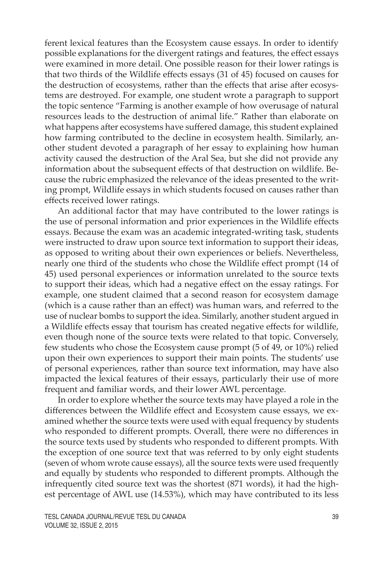ferent lexical features than the Ecosystem cause essays. In order to identify possible explanations for the divergent ratings and features, the effect essays were examined in more detail. One possible reason for their lower ratings is that two thirds of the Wildlife effects essays (31 of 45) focused on causes for the destruction of ecosystems, rather than the effects that arise after ecosystems are destroyed. For example, one student wrote a paragraph to support the topic sentence "Farming is another example of how overusage of natural resources leads to the destruction of animal life." Rather than elaborate on what happens after ecosystems have suffered damage, this student explained how farming contributed to the decline in ecosystem health. Similarly, another student devoted a paragraph of her essay to explaining how human activity caused the destruction of the Aral Sea, but she did not provide any information about the subsequent effects of that destruction on wildlife. Because the rubric emphasized the relevance of the ideas presented to the writing prompt, Wildlife essays in which students focused on causes rather than effects received lower ratings.

An additional factor that may have contributed to the lower ratings is the use of personal information and prior experiences in the Wildlife effects essays. Because the exam was an academic integrated-writing task, students were instructed to draw upon source text information to support their ideas, as opposed to writing about their own experiences or beliefs. Nevertheless, nearly one third of the students who chose the Wildlife effect prompt (14 of 45) used personal experiences or information unrelated to the source texts to support their ideas, which had a negative effect on the essay ratings. For example, one student claimed that a second reason for ecosystem damage (which is a cause rather than an effect) was human wars, and referred to the use of nuclear bombs to support the idea. Similarly, another student argued in a Wildlife effects essay that tourism has created negative effects for wildlife, even though none of the source texts were related to that topic. Conversely, few students who chose the Ecosystem cause prompt (5 of 49, or 10%) relied upon their own experiences to support their main points. The students' use of personal experiences, rather than source text information, may have also impacted the lexical features of their essays, particularly their use of more frequent and familiar words, and their lower AWL percentage.

In order to explore whether the source texts may have played a role in the differences between the Wildlife effect and Ecosystem cause essays, we examined whether the source texts were used with equal frequency by students who responded to different prompts. Overall, there were no differences in the source texts used by students who responded to different prompts. With the exception of one source text that was referred to by only eight students (seven of whom wrote cause essays), all the source texts were used frequently and equally by students who responded to different prompts. Although the infrequently cited source text was the shortest (871 words), it had the highest percentage of AWL use (14.53%), which may have contributed to its less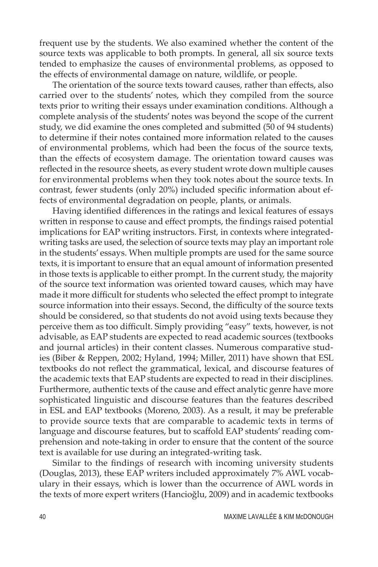frequent use by the students. We also examined whether the content of the source texts was applicable to both prompts. In general, all six source texts tended to emphasize the causes of environmental problems, as opposed to the effects of environmental damage on nature, wildlife, or people.

The orientation of the source texts toward causes, rather than effects, also carried over to the students' notes, which they compiled from the source texts prior to writing their essays under examination conditions. Although a complete analysis of the students' notes was beyond the scope of the current study, we did examine the ones completed and submitted (50 of 94 students) to determine if their notes contained more information related to the causes of environmental problems, which had been the focus of the source texts, than the effects of ecosystem damage. The orientation toward causes was reflected in the resource sheets, as every student wrote down multiple causes for environmental problems when they took notes about the source texts. In contrast, fewer students (only 20%) included specific information about effects of environmental degradation on people, plants, or animals.

Having identified differences in the ratings and lexical features of essays written in response to cause and effect prompts, the findings raised potential implications for EAP writing instructors. First, in contexts where integratedwriting tasks are used, the selection of source texts may play an important role in the students' essays. When multiple prompts are used for the same source texts, it is important to ensure that an equal amount of information presented in those texts is applicable to either prompt. In the current study, the majority of the source text information was oriented toward causes, which may have made it more difficult for students who selected the effect prompt to integrate source information into their essays. Second, the difficulty of the source texts should be considered, so that students do not avoid using texts because they perceive them as too difficult. Simply providing "easy" texts, however, is not advisable, as EAP students are expected to read academic sources (textbooks and journal articles) in their content classes. Numerous comparative studies (Biber & Reppen, 2002; Hyland, 1994; Miller, 2011) have shown that ESL textbooks do not reflect the grammatical, lexical, and discourse features of the academic texts that EAP students are expected to read in their disciplines. Furthermore, authentic texts of the cause and effect analytic genre have more sophisticated linguistic and discourse features than the features described in ESL and EAP textbooks (Moreno, 2003). As a result, it may be preferable to provide source texts that are comparable to academic texts in terms of language and discourse features, but to scaffold EAP students' reading comprehension and note-taking in order to ensure that the content of the source text is available for use during an integrated-writing task.

Similar to the findings of research with incoming university students (Douglas, 2013), these EAP writers included approximately 7% AWL vocabulary in their essays, which is lower than the occurrence of AWL words in the texts of more expert writers (Hancioğlu, 2009) and in academic textbooks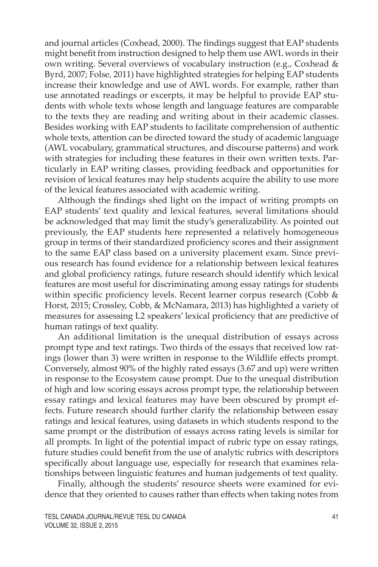and journal articles (Coxhead, 2000). The findings suggest that EAP students might benefit from instruction designed to help them use AWL words in their own writing. Several overviews of vocabulary instruction (e.g., Coxhead & Byrd, 2007; Folse, 2011) have highlighted strategies for helping EAP students increase their knowledge and use of AWL words. For example, rather than use annotated readings or excerpts, it may be helpful to provide EAP students with whole texts whose length and language features are comparable to the texts they are reading and writing about in their academic classes. Besides working with EAP students to facilitate comprehension of authentic whole texts, attention can be directed toward the study of academic language (AWL vocabulary, grammatical structures, and discourse patterns) and work with strategies for including these features in their own written texts. Particularly in EAP writing classes, providing feedback and opportunities for revision of lexical features may help students acquire the ability to use more of the lexical features associated with academic writing.

Although the findings shed light on the impact of writing prompts on EAP students' text quality and lexical features, several limitations should be acknowledged that may limit the study's generalizability. As pointed out previously, the EAP students here represented a relatively homogeneous group in terms of their standardized proficiency scores and their assignment to the same EAP class based on a university placement exam. Since previous research has found evidence for a relationship between lexical features and global proficiency ratings, future research should identify which lexical features are most useful for discriminating among essay ratings for students within specific proficiency levels. Recent learner corpus research (Cobb & Horst, 2015; Crossley, Cobb, & McNamara, 2013) has highlighted a variety of measures for assessing L2 speakers' lexical proficiency that are predictive of human ratings of text quality.

An additional limitation is the unequal distribution of essays across prompt type and text ratings. Two thirds of the essays that received low ratings (lower than 3) were written in response to the Wildlife effects prompt. Conversely, almost 90% of the highly rated essays (3.67 and up) were written in response to the Ecosystem cause prompt. Due to the unequal distribution of high and low scoring essays across prompt type, the relationship between essay ratings and lexical features may have been obscured by prompt effects. Future research should further clarify the relationship between essay ratings and lexical features, using datasets in which students respond to the same prompt or the distribution of essays across rating levels is similar for all prompts. In light of the potential impact of rubric type on essay ratings, future studies could benefit from the use of analytic rubrics with descriptors specifically about language use, especially for research that examines relationships between linguistic features and human judgements of text quality.

Finally, although the students' resource sheets were examined for evidence that they oriented to causes rather than effects when taking notes from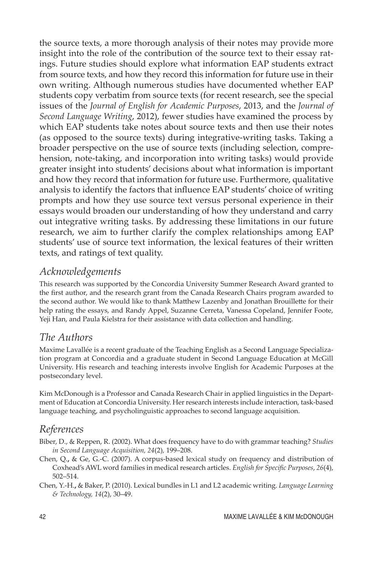the source texts, a more thorough analysis of their notes may provide more insight into the role of the contribution of the source text to their essay ratings. Future studies should explore what information EAP students extract from source texts, and how they record this information for future use in their own writing. Although numerous studies have documented whether EAP students copy verbatim from source texts (for recent research, see the special issues of the *Journal of English for Academic Purposes*, 2013, and the *Journal of Second Language Writing*, 2012), fewer studies have examined the process by which EAP students take notes about source texts and then use their notes (as opposed to the source texts) during integrative-writing tasks. Taking a broader perspective on the use of source texts (including selection, comprehension, note-taking, and incorporation into writing tasks) would provide greater insight into students' decisions about what information is important and how they record that information for future use. Furthermore, qualitative analysis to identify the factors that influence EAP students' choice of writing prompts and how they use source text versus personal experience in their essays would broaden our understanding of how they understand and carry out integrative writing tasks. By addressing these limitations in our future research, we aim to further clarify the complex relationships among EAP students' use of source text information, the lexical features of their written texts, and ratings of text quality.

#### *Acknowledgements*

This research was supported by the Concordia University Summer Research Award granted to the first author, and the research grant from the Canada Research Chairs program awarded to the second author. We would like to thank Matthew Lazenby and Jonathan Brouillette for their help rating the essays, and Randy Appel, Suzanne Cerreta, Vanessa Copeland, Jennifer Foote, Yeji Han, and Paula Kielstra for their assistance with data collection and handling.

# *The Authors*

Maxime Lavallée is a recent graduate of the Teaching English as a Second Language Specialization program at Concordia and a graduate student in Second Language Education at McGill University. His research and teaching interests involve English for Academic Purposes at the postsecondary level.

Kim McDonough is a Professor and Canada Research Chair in applied linguistics in the Department of Education at Concordia University. Her research interests include interaction, task-based language teaching, and psycholinguistic approaches to second language acquisition.

# *References*

Biber, D., & Reppen, R. (2002). What does frequency have to do with grammar teaching? *Studies in Second Language Acquisition, 24*(2)*,* 199–208.

Chen, Q.**,** & Ge, G.-C. (2007). A corpus-based lexical study on frequency and distribution of Coxhead's AWL word families in medical research articles. *English for Specific Purposes*, *26*(4), 502–514.

Chen, Y.-H.**,** & Baker, P. (2010). Lexical bundles in L1 and L2 academic writing. *Language Learning & Technology, 14*(2), 30–49.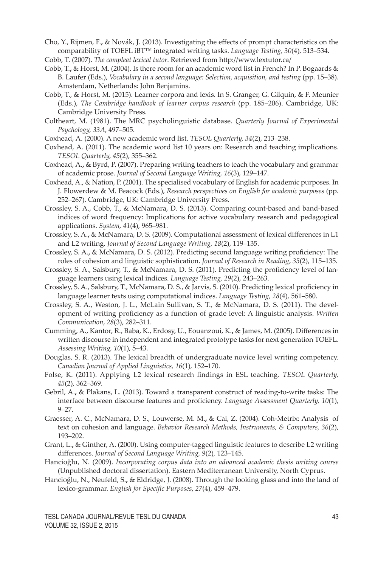Cho, Y., Rijmen, F.**,** & Novák, J. (2013). Investigating the effects of prompt characteristics on the comparability of TOEFL iBT™ integrated writing tasks. *Language Testing, 30*(4)*,* 513–534.

Cobb, T. (2007). *The compleat lexical tutor*. Retrieved from http://www.lextutor.ca/

- Cobb, T.**,** & Horst, M. (2004). Is there room for an academic word list in French? In P. Bogaards & B. Laufer (Eds.), *Vocabulary in a second language: Selection, acquisition, and testing (pp. 15–38).* Amsterdam, Netherlands: John Benjamins.
- Cobb, T., & Horst, M. (2015). Learner corpora and lexis. In S. Granger, G. Gilquin, & F. Meunier (Eds.), *The Cambridge handbook of learner corpus research* (pp. 185–206). Cambridge, UK: Cambridge University Press.
- Coltheart, M. (1981). The MRC psycholinguistic database. *Quarterly Journal of Experimental Psychology, 33A*, 497–505.
- Coxhead, A. (2000). A new academic word list. *TESOL Quarterly, 34*(2), 213–238.
- Coxhead, A. (2011). The academic word list 10 years on: Research and teaching implications. *TESOL Quarterly, 45*(2), 355–362.
- Coxhead, A.**,** & Byrd, P. (2007). Preparing writing teachers to teach the vocabulary and grammar of academic prose. *Journal of Second Language Writing, 16*(3), 129–147.
- Coxhead, A., & Nation, P. (2001). The specialised vocabulary of English for academic purposes. In J. Flowerdew & M. Peacock (Eds.), *Research perspectives on English for academic purposes* (pp. 252–267). Cambridge, UK: Cambridge University Press.
- Crossley, S. A., Cobb, T., & McNamara, D. S. (2013). Comparing count-based and band-based indices of word frequency: Implications for active vocabulary research and pedagogical applications. *System, 41*(4)*,* 965–981.
- Crossley, S. A.**,** & McNamara, D. S. (2009). Computational assessment of lexical differences in L1 and L2 writing. *Journal of Second Language Writing, 18*(2), 119–135.
- Crossley, S. A.**,** & McNamara, D. S. (2012). Predicting second language writing proficiency: The roles of cohesion and linguistic sophistication. *Journal of Research in Reading*, *35*(2), 115–135.
- Crossley, S. A., Salsbury, T., & McNamara, D. S. (2011). Predicting the proficiency level of language learners using lexical indices. *Language Testing, 29*(2), 243–263.
- Crossley, S. A., Salsbury, T., McNamara, D. S., & Jarvis, S. (2010). Predicting lexical proficiency in language learner texts using computational indices. *Language Testing, 28*(4)*,* 561–580.
- Crossley, S. A., Weston, J. L., McLain Sullivan, S. T., & McNamara, D. S. (2011). The development of writing proficiency as a function of grade level: A linguistic analysis. *Written Communication*, *28*(3), 282–311.
- Cumming, A., Kantor, R., Baba, K., Erdosy, U., Eouanzoui, K.**,** & James, M. (2005). Differences in written discourse in independent and integrated prototype tasks for next generation TOEFL. *Assessing Writing, 10*(1), 5–43.
- Douglas, S. R. (2013). The lexical breadth of undergraduate novice level writing competency. *Canadian Journal of Applied Linguistics, 16*(1)*,* 152–170.
- Folse, K. (2011). Applying L2 lexical research findings in ESL teaching. *TESOL Quarterly, 45*(2)*,* 362–369.
- Gebril, A.**,** & Plakans, L. (2013). Toward a transparent construct of reading-to-write tasks: The interface between discourse features and proficiency. *Language Assessment Quarterly, 10*(1), 9–27.
- Graesser, A. C., McNamara, D. S., Louwerse, M. M.**,** & Cai, Z. (2004). Coh-Metrix: Analysis of text on cohesion and language. *Behavior Research Methods, Instruments, & Computers, 36*(2), 193–202.
- Grant, L.**,** & Ginther, A. (2000). Using computer-tagged linguistic features to describe L2 writing differences. *Journal of Second Language Writing, 9*(2)*,* 123–145.
- Hancioğlu, N. (2009). *Incorporating corpus data into an advanced academic thesis writing course* (Unpublished doctoral dissertation). Eastern Mediterranean University, North Cyprus.
- Hancioğlu, N., Neufeld, S.**,** & Eldridge, J. (2008). Through the looking glass and into the land of lexico-grammar. *English for Specific Purposes*, *27*(4), 459–479.

TESL CANADA JOURNAL/REVUE TESL DU CANADA 43 Volume 32, issue 2, 2015